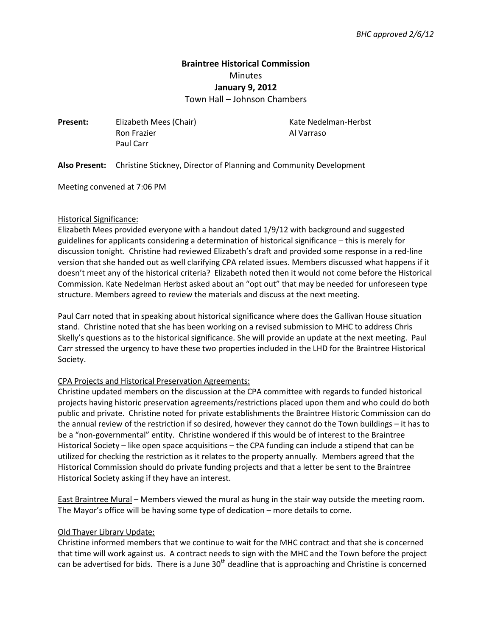# **Braintree Historical Commission**  Minutes **January 9, 2012**

Town Hall – Johnson Chambers

**Present:** Elizabeth Mees (Chair) **Kate Nedelman-Herbst** Ron Frazier **Al Varraso** Paul Carr

**Also Present:** Christine Stickney, Director of Planning and Community Development

Meeting convened at 7:06 PM

### Historical Significance:

Elizabeth Mees provided everyone with a handout dated 1/9/12 with background and suggested guidelines for applicants considering a determination of historical significance – this is merely for discussion tonight. Christine had reviewed Elizabeth's draft and provided some response in a red-line version that she handed out as well clarifying CPA related issues. Members discussed what happens if it doesn't meet any of the historical criteria? Elizabeth noted then it would not come before the Historical Commission. Kate Nedelman Herbst asked about an "opt out" that may be needed for unforeseen type structure. Members agreed to review the materials and discuss at the next meeting.

Paul Carr noted that in speaking about historical significance where does the Gallivan House situation stand. Christine noted that she has been working on a revised submission to MHC to address Chris Skelly's questions as to the historical significance. She will provide an update at the next meeting. Paul Carr stressed the urgency to have these two properties included in the LHD for the Braintree Historical Society.

### CPA Projects and Historical Preservation Agreements:

Christine updated members on the discussion at the CPA committee with regards to funded historical projects having historic preservation agreements/restrictions placed upon them and who could do both public and private. Christine noted for private establishments the Braintree Historic Commission can do the annual review of the restriction if so desired, however they cannot do the Town buildings – it has to be a "non-governmental" entity. Christine wondered if this would be of interest to the Braintree Historical Society – like open space acquisitions – the CPA funding can include a stipend that can be utilized for checking the restriction as it relates to the property annually. Members agreed that the Historical Commission should do private funding projects and that a letter be sent to the Braintree Historical Society asking if they have an interest.

East Braintree Mural – Members viewed the mural as hung in the stair way outside the meeting room. The Mayor's office will be having some type of dedication – more details to come.

### Old Thayer Library Update:

Christine informed members that we continue to wait for the MHC contract and that she is concerned that time will work against us. A contract needs to sign with the MHC and the Town before the project can be advertised for bids. There is a June 30<sup>th</sup> deadline that is approaching and Christine is concerned